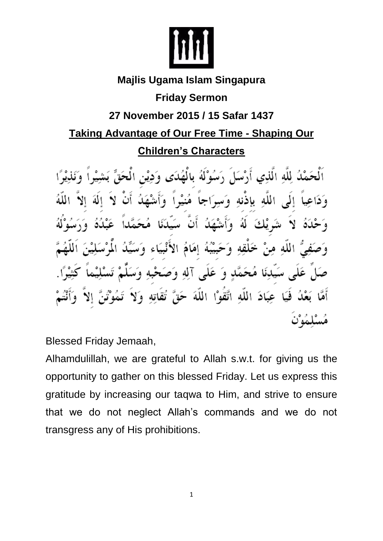

## **Majlis Ugama Islam Singapura Friday Sermon 27 November 2015 / 15 Safar 1437 Taking Advantage of Our Free Time - Shaping Our Children's Characters**

رَسُوْلَهُ بِالْصُلَى وَدِيْنِ الْمَج اَلْحَمْدُ لِلَّهِ الَّذِي أَرْسَلَ برَاحاً مُنبْداً وَأَمِنْه وَدَاعِيا إِلَى اللَّه بِإِذْنِه وَمَد á ا و َ يّْبَهُ إِمَامُ الأَنْبِيَاء سَيِّدِنَا مُحَمَّدٍ وَ عَلَى آلِهِ وَصَحْبِهِ وَم فَيَا عِبَادَ اللَّهِ اتَّقَوْا اللَّهَ حَقَّ تقاته وَلا

Blessed Friday Jemaah,

Alhamdulillah, we are grateful to Allah s.w.t. for giving us the opportunity to gather on this blessed Friday. Let us express this gratitude by increasing our taqwa to Him, and strive to ensure that we do not neglect Allah's commands and we do not transgress any of His prohibitions.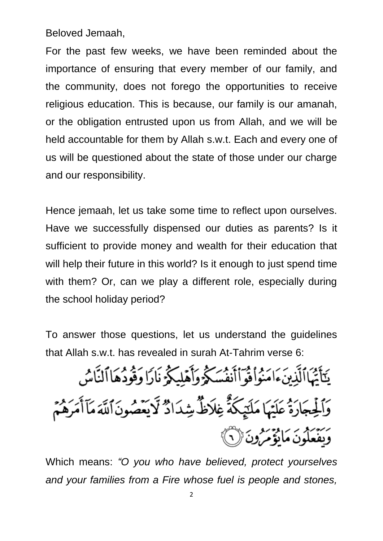Beloved Jemaah,

For the past few weeks, we have been reminded about the importance of ensuring that every member of our family, and the community, does not forego the opportunities to receive religious education. This is because, our family is our amanah, or the obligation entrusted upon us from Allah, and we will be held accountable for them by Allah s.w.t. Each and every one of us will be questioned about the state of those under our charge and our responsibility.

Hence jemaah, let us take some time to reflect upon ourselves. Have we successfully dispensed our duties as parents? Is it sufficient to provide money and wealth for their education that will help their future in this world? Is it enough to just spend time with them? Or, can we play a different role, especially during the school holiday period?

To answer those questions, let us understand the guidelines that Allah s.w.t. has revealed in surah At-Tahrim verse 6:

يَتَأْتُهَاٱلَّذِينَءَامَنُواْفُوَٱأَنفُسَكُوۡوَأَهۡلِيَكُمۡ نَارَا وَقُودُهَاٱلنَّاسُ وَٱلْجِجَارَةُ عَلَيْهَا مَلَتِيكَةً غِلَاظٌ شِدَادٌ لَايَعْصُونَ ٱللَّهَ مَآأَمَرَهُمُّ رسم ديدر کرد دي.<br>ويفغلون مانوم رون ( ۱

Which means: *"O you who have believed, protect yourselves and your families from a Fire whose fuel is people and stones,*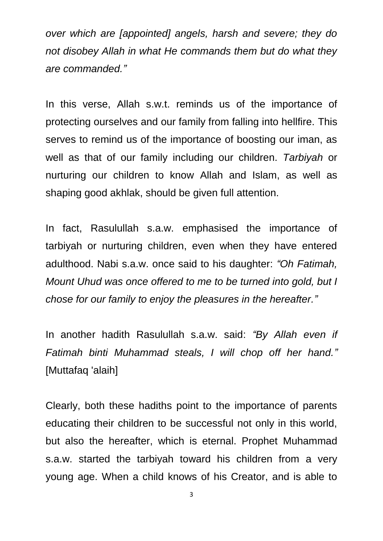*over which are [appointed] angels, harsh and severe; they do not disobey Allah in what He commands them but do what they are commanded."*

In this verse, Allah s.w.t. reminds us of the importance of protecting ourselves and our family from falling into hellfire. This serves to remind us of the importance of boosting our iman, as well as that of our family including our children. *Tarbiyah* or nurturing our children to know Allah and Islam, as well as shaping good akhlak, should be given full attention.

In fact, Rasulullah s.a.w. emphasised the importance of tarbiyah or nurturing children, even when they have entered adulthood. Nabi s.a.w. once said to his daughter: *"Oh Fatimah, Mount Uhud was once offered to me to be turned into gold, but I chose for our family to enjoy the pleasures in the hereafter."*

In another hadith Rasulullah s.a.w. said: *"By Allah even if Fatimah binti Muhammad steals, I will chop off her hand."* [Muttafaq 'alaih]

Clearly, both these hadiths point to the importance of parents educating their children to be successful not only in this world, but also the hereafter, which is eternal. Prophet Muhammad s.a.w. started the tarbiyah toward his children from a very young age. When a child knows of his Creator, and is able to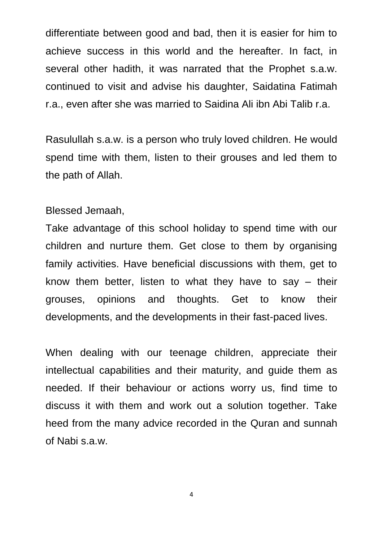differentiate between good and bad, then it is easier for him to achieve success in this world and the hereafter. In fact, in several other hadith, it was narrated that the Prophet s.a.w. continued to visit and advise his daughter, Saidatina Fatimah r.a., even after she was married to Saidina Ali ibn Abi Talib r.a.

Rasulullah s.a.w. is a person who truly loved children. He would spend time with them, listen to their grouses and led them to the path of Allah.

Blessed Jemaah,

Take advantage of this school holiday to spend time with our children and nurture them. Get close to them by organising family activities. Have beneficial discussions with them, get to know them better, listen to what they have to say – their grouses, opinions and thoughts. Get to know their developments, and the developments in their fast-paced lives.

When dealing with our teenage children, appreciate their intellectual capabilities and their maturity, and guide them as needed. If their behaviour or actions worry us, find time to discuss it with them and work out a solution together. Take heed from the many advice recorded in the Quran and sunnah of Nabi s.a.w.

4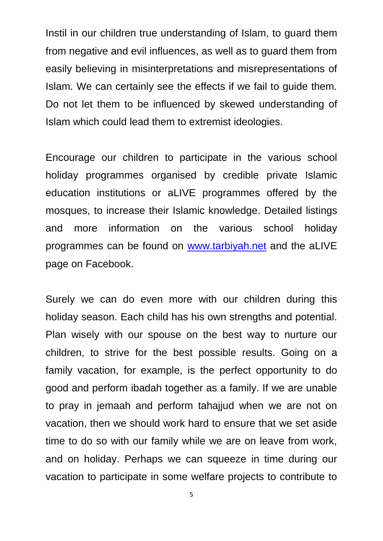Instil in our children true understanding of Islam, to guard them from negative and evil influences, as well as to guard them from easily believing in misinterpretations and misrepresentations of Islam. We can certainly see the effects if we fail to guide them. Do not let them to be influenced by skewed understanding of Islam which could lead them to extremist ideologies.

Encourage our children to participate in the various school holiday programmes organised by credible private Islamic education institutions or aLIVE programmes offered by the mosques, to increase their Islamic knowledge. Detailed listings and more information on the various school holiday programmes can be found on [www.tarbiyah.net](http://www.tarbiyah.net/) and the aLIVE page on Facebook.

Surely we can do even more with our children during this holiday season. Each child has his own strengths and potential. Plan wisely with our spouse on the best way to nurture our children, to strive for the best possible results. Going on a family vacation, for example, is the perfect opportunity to do good and perform ibadah together as a family. If we are unable to pray in jemaah and perform tahajjud when we are not on vacation, then we should work hard to ensure that we set aside time to do so with our family while we are on leave from work, and on holiday. Perhaps we can squeeze in time during our vacation to participate in some welfare projects to contribute to